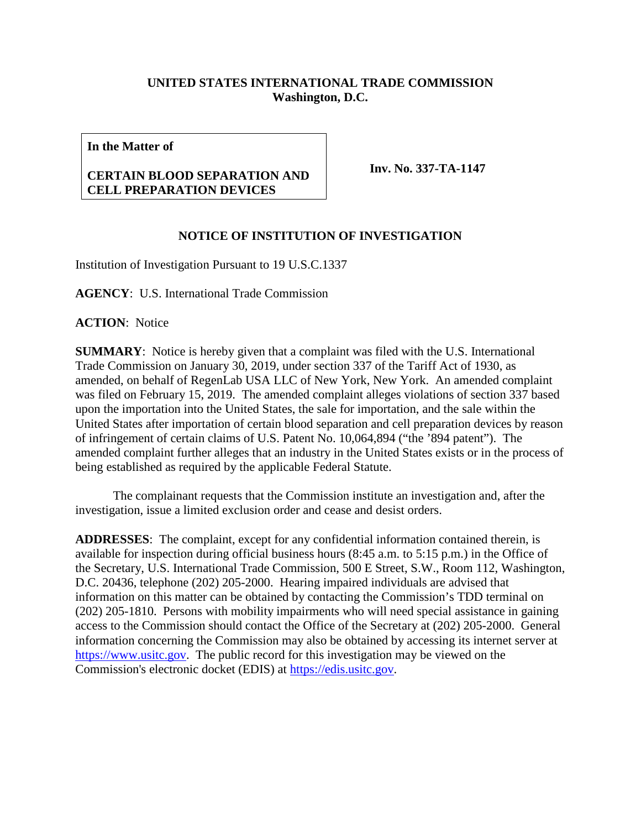## **UNITED STATES INTERNATIONAL TRADE COMMISSION Washington, D.C.**

**In the Matter of**

## **CERTAIN BLOOD SEPARATION AND CELL PREPARATION DEVICES**

**Inv. No. 337-TA-1147**

## **NOTICE OF INSTITUTION OF INVESTIGATION**

Institution of Investigation Pursuant to 19 U.S.C.1337

**AGENCY**: U.S. International Trade Commission

**ACTION**: Notice

**SUMMARY**: Notice is hereby given that a complaint was filed with the U.S. International Trade Commission on January 30, 2019, under section 337 of the Tariff Act of 1930, as amended, on behalf of RegenLab USA LLC of New York, New York. An amended complaint was filed on February 15, 2019. The amended complaint alleges violations of section 337 based upon the importation into the United States, the sale for importation, and the sale within the United States after importation of certain blood separation and cell preparation devices by reason of infringement of certain claims of U.S. Patent No. 10,064,894 ("the '894 patent"). The amended complaint further alleges that an industry in the United States exists or in the process of being established as required by the applicable Federal Statute.

The complainant requests that the Commission institute an investigation and, after the investigation, issue a limited exclusion order and cease and desist orders.

**ADDRESSES**: The complaint, except for any confidential information contained therein, is available for inspection during official business hours (8:45 a.m. to 5:15 p.m.) in the Office of the Secretary, U.S. International Trade Commission, 500 E Street, S.W., Room 112, Washington, D.C. 20436, telephone (202) 205-2000. Hearing impaired individuals are advised that information on this matter can be obtained by contacting the Commission's TDD terminal on (202) 205-1810. Persons with mobility impairments who will need special assistance in gaining access to the Commission should contact the Office of the Secretary at (202) 205-2000. General information concerning the Commission may also be obtained by accessing its internet server at [https://www.usitc.gov.](https://www.usitc.gov/) The public record for this investigation may be viewed on the Commission's electronic docket (EDIS) at [https://edis.usitc.gov.](https://edis.usitc.gov/)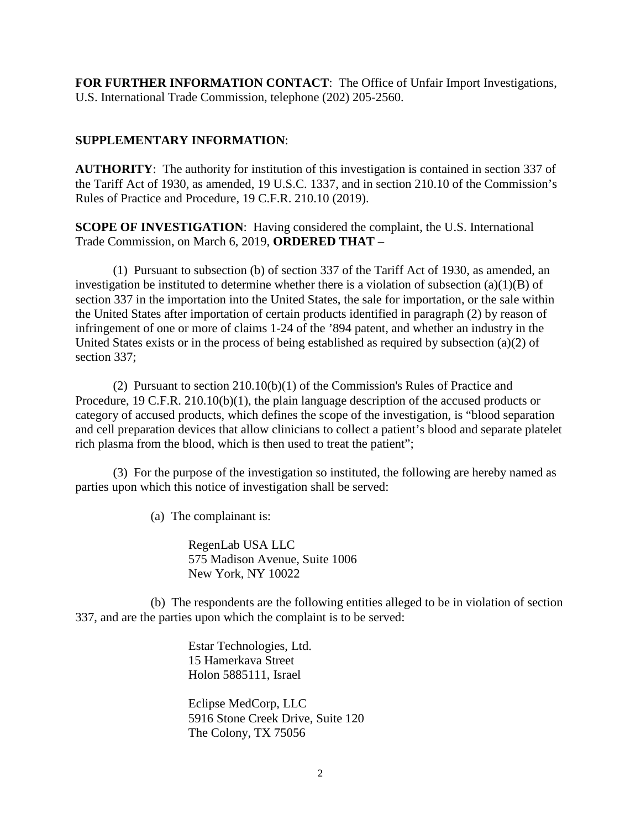**FOR FURTHER INFORMATION CONTACT**: The Office of Unfair Import Investigations, U.S. International Trade Commission, telephone (202) 205-2560.

## **SUPPLEMENTARY INFORMATION**:

**AUTHORITY**: The authority for institution of this investigation is contained in section 337 of the Tariff Act of 1930, as amended, 19 U.S.C. 1337, and in section 210.10 of the Commission's Rules of Practice and Procedure, 19 C.F.R. 210.10 (2019).

**SCOPE OF INVESTIGATION**: Having considered the complaint, the U.S. International Trade Commission, on March 6, 2019, **ORDERED THAT** –

(1) Pursuant to subsection (b) of section 337 of the Tariff Act of 1930, as amended, an investigation be instituted to determine whether there is a violation of subsection  $(a)(1)(B)$  of section 337 in the importation into the United States, the sale for importation, or the sale within the United States after importation of certain products identified in paragraph (2) by reason of infringement of one or more of claims 1-24 of the '894 patent, and whether an industry in the United States exists or in the process of being established as required by subsection (a)(2) of section 337;

(2) Pursuant to section 210.10(b)(1) of the Commission's Rules of Practice and Procedure, 19 C.F.R. 210.10(b)(1), the plain language description of the accused products or category of accused products, which defines the scope of the investigation, is "blood separation and cell preparation devices that allow clinicians to collect a patient's blood and separate platelet rich plasma from the blood, which is then used to treat the patient";

(3) For the purpose of the investigation so instituted, the following are hereby named as parties upon which this notice of investigation shall be served:

(a) The complainant is:

RegenLab USA LLC 575 Madison Avenue, Suite 1006 New York, NY 10022

(b) The respondents are the following entities alleged to be in violation of section 337, and are the parties upon which the complaint is to be served:

> Estar Technologies, Ltd. 15 Hamerkava Street Holon 5885111, Israel

Eclipse MedCorp, LLC 5916 Stone Creek Drive, Suite 120 The Colony, TX 75056